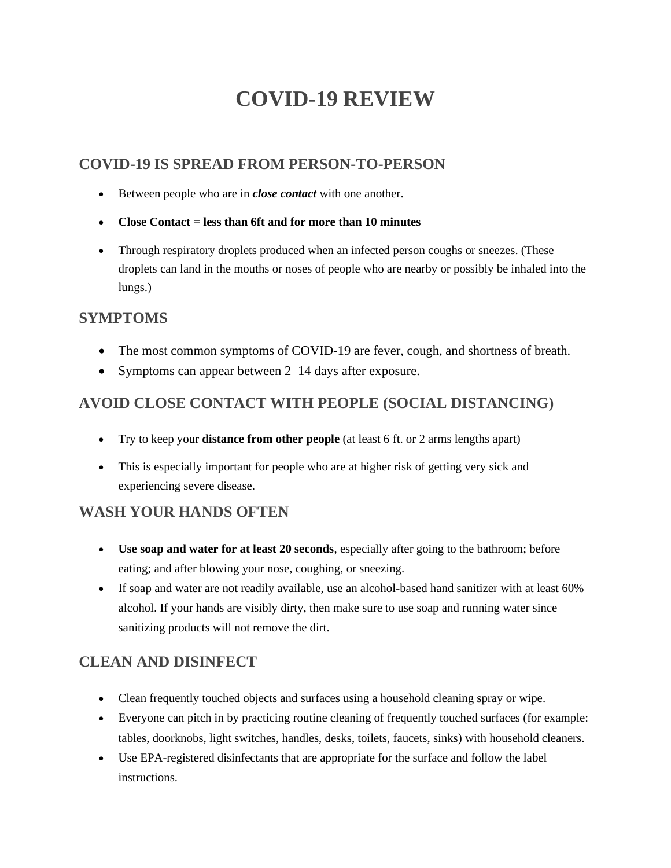# **COVID-19 REVIEW**

#### **COVID-19 IS SPREAD FROM PERSON-TO-PERSON**

- Between people who are in *close contact* with one another.
- **Close Contact = less than 6ft and for more than 10 minutes**
- Through respiratory droplets produced when an infected person coughs or sneezes. (These droplets can land in the mouths or noses of people who are nearby or possibly be inhaled into the lungs.)

#### **SYMPTOMS**

- The most common symptoms of COVID-19 are fever, cough, and shortness of breath.
- Symptoms can appear between 2–14 days after exposure.

## **AVOID CLOSE CONTACT WITH PEOPLE (SOCIAL DISTANCING)**

- Try to keep your **distance from other people** (at least 6 ft. or 2 arms lengths apart)
- This is especially important for people who are at higher risk of getting very sick and experiencing severe disease.

## **WASH YOUR HANDS OFTEN**

- **Use soap and water for at least 20 seconds**, especially after going to the bathroom; before eating; and after blowing your nose, coughing, or sneezing.
- If soap and water are not readily available, use an alcohol-based hand sanitizer with at least 60% alcohol. If your hands are visibly dirty, then make sure to use soap and running water since sanitizing products will not remove the dirt.

# **CLEAN AND DISINFECT**

- Clean frequently touched objects and surfaces using a household cleaning spray or wipe.
- Everyone can pitch in by practicing routine cleaning of frequently touched surfaces (for example: tables, doorknobs, light switches, handles, desks, toilets, faucets, sinks) with household cleaners.
- Use EPA-registered disinfectants that are appropriate for the surface and follow the label instructions.